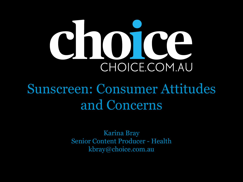# CHOICE.COM.AU

# Sunscreen: Consumer Attitudes and Concerns

Karina Bray Senior Content Producer - Health kbray@choice.com.au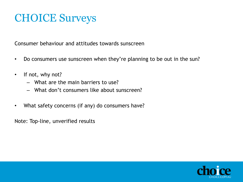#### CHOICE Surveys

Consumer behaviour and attitudes towards sunscreen

- Do consumers use sunscreen when they're planning to be out in the sun?
- If not, why not?
	- What are the main barriers to use?
	- What don't consumers like about sunscreen?
- What safety concerns (if any) do consumers have?

Note: Top-line, unverified results

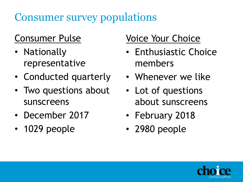# Consumer survey populations

#### Consumer Pulse

- Nationally representative
- Conducted quarterly
- Two questions about sunscreens
- December 2017
- 1029 people

#### Voice Your Choice

- Enthusiastic Choice members
- Whenever we like
- Lot of questions about sunscreens
- February 2018
- 2980 people

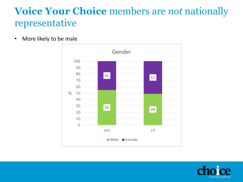#### **Voice Your Choice** members are *not* nationally representative

• More likely to be male



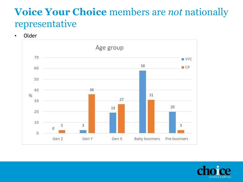#### **Voice Your Choice** members are *not* nationally representative

• Older



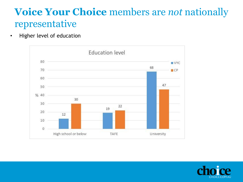#### **Voice Your Choice** members are *not* nationally representative

• Higher level of education



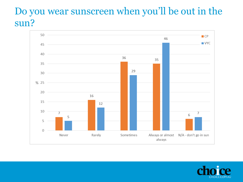#### Do you wear sunscreen when you'll be out in the sun?



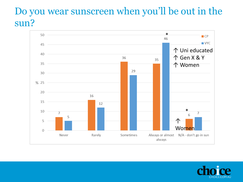#### Do you wear sunscreen when you'll be out in the sun?



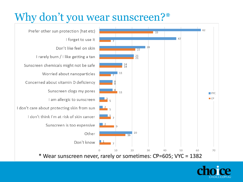# Why don't you wear sunscreen?\*



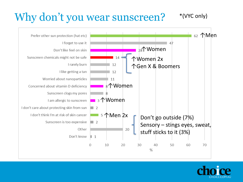#### Why don't you wear sunscreen? \*(VYC only)



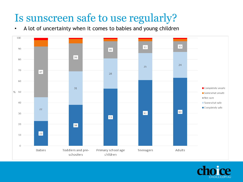# Is sunscreen safe to use regularly?

• A lot of uncertainty when it comes to babies and young children



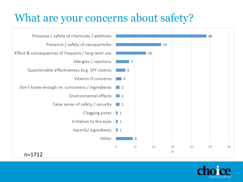### What are your concerns about safety?



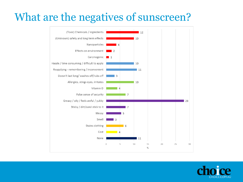## What are the negatives of sunscreen?



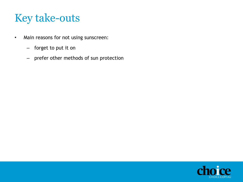- Main reasons for not using sunscreen:
	- forget to put it on
	- prefer other methods of sun protection

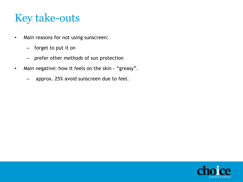- Main reasons for not using sunscreen:
	- forget to put it on
	- prefer other methods of sun protection
- Main negative: how it feels on the skin "greasy".
	- approx. 25% avoid sunscreen due to feel.

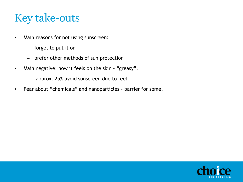- Main reasons for not using sunscreen:
	- forget to put it on
	- prefer other methods of sun protection
- Main negative: how it feels on the skin "greasy".
	- approx. 25% avoid sunscreen due to feel.
- Fear about "chemicals" and nanoparticles barrier for some.

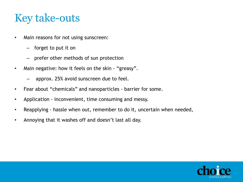- Main reasons for not using sunscreen:
	- forget to put it on
	- prefer other methods of sun protection
- Main negative: how it feels on the skin "greasy".
	- approx. 25% avoid sunscreen due to feel.
- Fear about "chemicals" and nanoparticles barrier for some.
- Application inconvenient, time consuming and messy.
- Reapplying hassle when out, remember to do it, uncertain when needed,
- Annoying that it washes off and doesn't last all day.

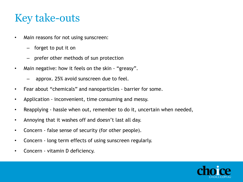- Main reasons for not using sunscreen:
	- forget to put it on
	- prefer other methods of sun protection
- Main negative: how it feels on the skin "greasy".
	- approx. 25% avoid sunscreen due to feel.
- Fear about "chemicals" and nanoparticles barrier for some.
- Application inconvenient, time consuming and messy.
- Reapplying hassle when out, remember to do it, uncertain when needed,
- Annoying that it washes off and doesn't last all day.
- Concern false sense of security (for other people).
- Concern long term effects of using sunscreen regularly.
- Concern vitamin D deficiency.

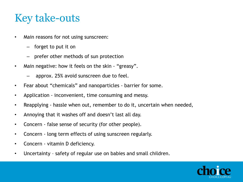- Main reasons for not using sunscreen:
	- forget to put it on
	- prefer other methods of sun protection
- Main negative: how it feels on the skin "greasy".
	- approx. 25% avoid sunscreen due to feel.
- Fear about "chemicals" and nanoparticles barrier for some.
- Application inconvenient, time consuming and messy.
- Reapplying hassle when out, remember to do it, uncertain when needed,
- Annoying that it washes off and doesn't last all day.
- Concern false sense of security (for other people).
- Concern long term effects of using sunscreen regularly.
- Concern vitamin D deficiency.
- Uncertainty safety of regular use on babies and small children.

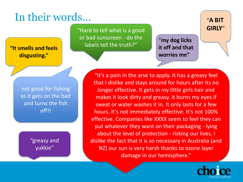# In their words…

"Hard to tell what is a good or bad sunscreen - do the labels tell the truth?"

"**my dog licks it off and that worries me"**

"**A BIT GIRLY**"

**"It smells and feels disgusting."**

> not good for fishing as it gets on the bait and turns the fish off!!

> > "greasy and yukkie"

"It's a pain in the arse to apply. It has a greasy feel that I dislike and stays around for hours after its no longer effective. It gets in my little girls hair and makes it look dirty and greasy. It burns my eyes if sweat or water washes it in. It only lasts for a few hours. It's not immediately effective. It's not 100% effective. Companies like XXXX seem to feel they can put whatever they want on their packaging - lying about the level of protection - risking our lives. I dislike the fact that it is so necessary in Australia (and NZ) our sun is very harsh thanks to ozone layer damage in our hemisphere."